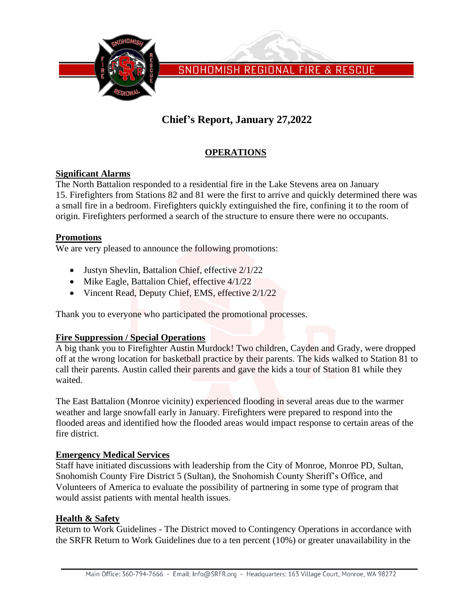

SNOHOMISH REGIONAL FIRE & RESCUE

# **Chief's Report, January 27,2022**

### **OPERATIONS**

### **Significant Alarms**

The North Battalion responded to a residential fire in the Lake Stevens area on January 15. Firefighters from Stations 82 and 81 were the first to arrive and quickly determined there was a small fire in a bedroom. Firefighters quickly extinguished the fire, confining it to the room of origin. Firefighters performed a search of the structure to ensure there were no occupants.

### **Promotions**

We are very pleased to announce the following promotions:

- Justyn Shevlin, Battalion Chief, effective  $2/1/22$
- Mike Eagle, Battalion Chief, effective  $\frac{4}{1/22}$
- Vincent Read, Deputy Chief, EMS, effective  $2/1/22$

Thank you to everyone who participated the promotional processes.

### **Fire Suppression / Special Operations**

A big thank you to Firefighter Austin Murdock! Two children, Cayden and Grady, were dropped off at the wrong location for basketball practice by their parents. The kids walked to Station 81 to call their parents. Austin called their parents and gave the kids a tour of Station 81 while they waited.

The East Battalion (Monroe vicinity) experienced flooding in several areas due to the warmer weather and large snowfall early in January. Firefighters were prepared to respond into the flooded areas and identified how the flooded areas would impact response to certain areas of the fire district.

### **Emergency Medical Services**

Staff have initiated discussions with leadership from the City of Monroe, Monroe PD, Sultan, Snohomish County Fire District 5 (Sultan), the Snohomish County Sheriff's Office, and Volunteers of America to evaluate the possibility of partnering in some type of program that would assist patients with mental health issues.

### **Health & Safety**

Return to Work Guidelines - The District moved to Contingency Operations in accordance with the SRFR Return to Work Guidelines due to a ten percent (10%) or greater unavailability in the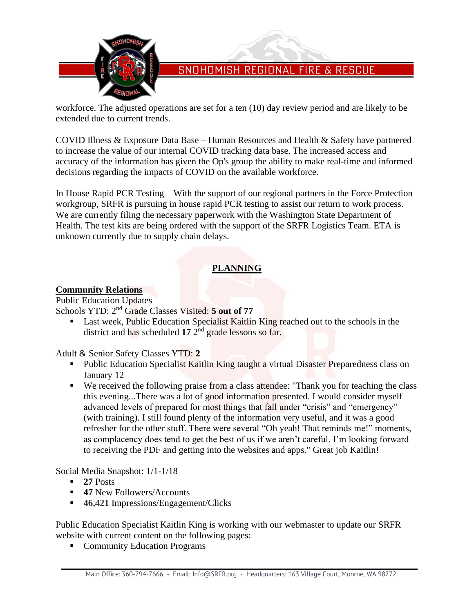

# SNOHOMISH REGIONAL FIRE & RESCUE

workforce. The adjusted operations are set for a ten (10) day review period and are likely to be extended due to current trends.

COVID Illness & Exposure Data Base – Human Resources and Health & Safety have partnered to increase the value of our internal COVID tracking data base. The increased access and accuracy of the information has given the Op's group the ability to make real-time and informed decisions regarding the impacts of COVID on the available workforce.

In House Rapid PCR Testing – With the support of our regional partners in the Force Protection workgroup, SRFR is pursuing in house rapid PCR testing to assist our return to work process. We are currently filing the necessary paperwork with the Washington State Department of Health. The test kits are being ordered with the support of the SRFR Logistics Team. ETA is unknown currently due to supply chain delays.

### **PLANNING**

### **Community Relations**

Public Education Updates Schools YTD: 2<sup>nd</sup> Grade Classes Visited: 5 out of 77

■ Last week, Public Education Specialist Kaitlin King reached out to the schools in the district and has scheduled **17** 2 nd grade lessons so far.

Adult & Senior Safety Classes YTD: **2**

- Public Education Specialist Kaitlin King taught a virtual Disaster Preparedness class on January 12
- We received the following praise from a class attendee: "Thank you for teaching the class this evening...There was a lot of good information presented. I would consider myself advanced levels of prepared for most things that fall under "crisis" and "emergency" (with training). I still found plenty of the information very useful, and it was a good refresher for the other stuff. There were several "Oh yeah! That reminds me!" moments, as complacency does tend to get the best of us if we aren't careful. I'm looking forward to receiving the PDF and getting into the websites and apps." Great job Kaitlin!

Social Media Snapshot: 1/1-1/18

- $\blacksquare$  **27** Posts
- **47** New Followers/Accounts
- 46,421 Impressions/Engagement/Clicks

Public Education Specialist Kaitlin King is working with our webmaster to update our SRFR website with current content on the following pages:

■ Community Education Programs